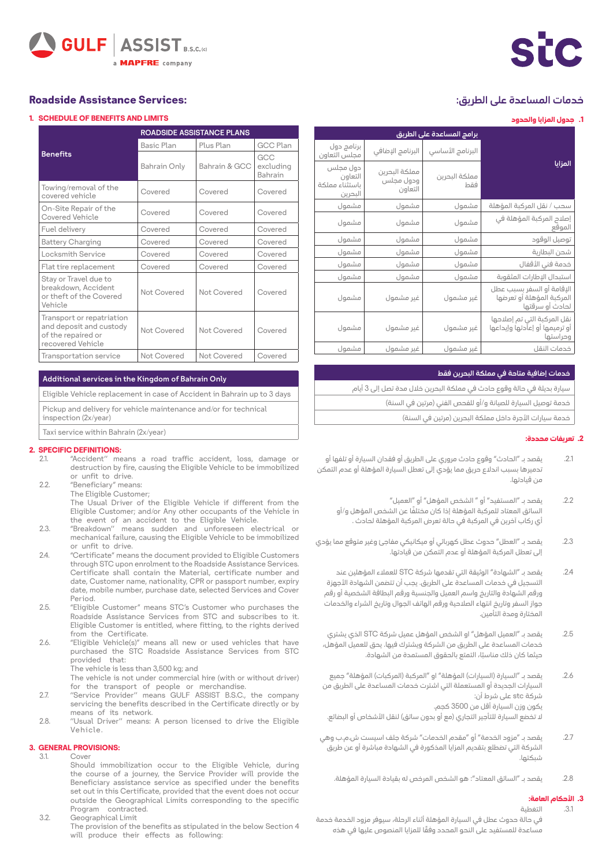# خدمات المساعدة على الطريق:

### **.1 جدول المزايا والحدود**

| برامج المساعدة على الطريق                        |                                       |                      |                                                                           |  |  |  |  |
|--------------------------------------------------|---------------------------------------|----------------------|---------------------------------------------------------------------------|--|--|--|--|
| برنامج دول<br>مجلس التعاون                       | البرنامج الإضافي                      | البرنامج الأساسي     | المزايا                                                                   |  |  |  |  |
| دول مجلس<br>التعاون<br>باستثناء مملكة<br>البحرين | مملكة البحرين<br>ودول مجلس<br>التعاون | مملكة البحرين<br>فقط |                                                                           |  |  |  |  |
| مشمول                                            | مشمول                                 | مشمول                | سحب / نقل المركبة المؤهلة                                                 |  |  |  |  |
| مشمول                                            | مشمول                                 | مشمول                | إصلاح المركبة المؤهلة في<br>الموقع                                        |  |  |  |  |
| مشمول                                            | مشمول                                 | مشمول                | توصيل الوقود                                                              |  |  |  |  |
| مشمول                                            | مشمول                                 | مشمول                | شحن البطارية                                                              |  |  |  |  |
| مشمول                                            | مشمول                                 | مشمول                | خدمة فني الأقفال                                                          |  |  |  |  |
| مشمول                                            | مشمول                                 | مشمول                | استبدال الإطارات المثقوبة                                                 |  |  |  |  |
| مشمول                                            | غير مشمول                             | غير مشمول            | الإقامة أو السفر بسبب عطل<br>المركبة المؤهلة أو تعرضها<br>لحادث أو سرقتها |  |  |  |  |
| مشمول                                            | غير مشمول                             | غير مشمول            | نقل المركبة التي تم إصلاحها<br>أو ترميمها أو إعآدتها وإيداعها<br>وحراستها |  |  |  |  |
| مشمول                                            | غير مشمول                             | غير مشمول            | خدمات النقل                                                               |  |  |  |  |

#### خدمات إضافية متاحة في مملكة البحرين فقط

| سيارة بديلة في حالة وقوع حادث في مملكة البحرين خلال مدة تصل إلى 3 أيام |  |
|------------------------------------------------------------------------|--|
| خدمة توصيل السيارة للصيانة و/أو للفحص الفني (مرتين في السنة)           |  |
|                                                                        |  |

خدمة سيارات الأجرة داخل مملكة البحرين (مرتين في السنة)

#### **.2 تعريفات محددة:**

- .2.1 يقصد بـ "الحادث" وقوع حادث مروري على الطريق أو فقدان السيارة أو تلفها أو تدميرها بسبب اندالع حريق مما يؤدي إلى تعطل السيارة المؤهلة أو عدم التمكن من قيادتها.
	- .2.2 يقصد بـ "المستفيد" أو " الشخص المؤهل" أو "العميل" ً السائق المعتاد للمركبة المؤهلة إذا كان مختلفا عن الشخص المؤهل و/أو أي ركاب آخرين في المركبة في حالة تعرض المركبة المؤهلة لحادث .
- .2.3 يقصد بـ "العطل" حدوث عطل كهربائي أو ميكانيكي مفاجئ وغير متوقع مما يؤدي إلى تعطل المركبة المؤهلة أو عدم التمكن من قيادتها.
	- .2.4 يقصد بـ "الشهادة" الوثيقة التي تقدمها شركة STC للعمالء المؤهلين عند التسجيل في خدمات المساعدة على الطريق. يجب أن تتضمن الشهادة األجهزة ورقم الشهادة والتاريخ واسم العميل والجنسية ورقم البطاقة الشخصية أو رقم جواز السفر وتاريخ انتهاء الصالحية ورقم الهاتف الجوال وتاريخ الشراء والخدمات المختارة ومدة التأمين.
	- .2.5 يقصد بـ "العميل المؤهل" او الشخص المؤهل عميل شركة STC الذي يشتري خدمات المساعدة على الطريق من الشركة ويشترك فيها. يحق للعميل المؤهل، ً حيثما كان ذلك مناسبا، التمتع بالحقوق المستمدة من الشهادة.
- .<br>2.6. يقصد بـ "السيارة (السيارات) المؤهلة" او "المركبة (المركبات) المؤهلة" جميع السيارات الجديدة أو المستعملة التي اشترت خدمات المساعدة على الطريق من شركة stc على شرط أن: يكون وزن السيارة أقل من 3500 كجم. لا تخضع السيارة للتأجير التجاري (مع أو بدون سائق) لنقل الأشخاص أو البضائع.
- .2.7 يقصد بـ "مزود الخدمة" أو "مقدم الخدمات" شركة جلف اسيست ش.م.ب وهي الشركة التي تضطلع بتقديم المزايا المذكورة في الشهادة مباشرة أو عن طريق شبكتها.
	- .2.8 يقصد بـ "السائق المعتاد": هو الشخص المرخص له بقيادة السيارة المؤهلة.

#### **.3 األحكام العامة:**

### .3.1 التغطية

**GULF ASSIST** B.S.C.IO **MAPFRE** company

## **Roadside Assistance Services:**

### **LI SCHEDULE OF RENEFITS AND LIMITS**

|                                                                                                 | <b>ROADSIDE ASSISTANCE PLANS</b> |               |                             |  |  |  |  |
|-------------------------------------------------------------------------------------------------|----------------------------------|---------------|-----------------------------|--|--|--|--|
|                                                                                                 | <b>Basic Plan</b>                | Plus Plan     | <b>GCC Plan</b>             |  |  |  |  |
| <b>Benefits</b>                                                                                 | Bahrain Only                     | Bahrain & GCC | GCC<br>excluding<br>Bahrain |  |  |  |  |
| Towing/removal of the<br>covered vehicle                                                        | Covered                          | Covered       | Covered                     |  |  |  |  |
| On-Site Repair of the<br>Covered Vehicle                                                        | Covered                          | Covered       | Covered                     |  |  |  |  |
| Fuel delivery                                                                                   | Covered                          | Covered       | Covered                     |  |  |  |  |
| <b>Battery Charging</b>                                                                         | Covered                          | Covered       | Covered                     |  |  |  |  |
| Locksmith Service                                                                               | Covered                          | Covered       | Covered                     |  |  |  |  |
| Flat tire replacement                                                                           | Covered                          | Covered       | Covered                     |  |  |  |  |
| Stay or Travel due to<br>breakdown, Accident<br>or theft of the Covered<br>Vehicle              | Not Covered                      | Not Covered   | Covered                     |  |  |  |  |
| Transport or repatriation<br>and deposit and custody<br>of the repaired or<br>recovered Vehicle | Not Covered                      | Not Covered   | Covered                     |  |  |  |  |
| Transportation service                                                                          | Not Covered                      | Not Covered   | Covered                     |  |  |  |  |

### Additional services in the Kingdom of Bahrain Only

Fligthle Vehicle replacement in case of Accident in Bahrain up to 3 days Pickup and delivery for vehicle maintenance and/or for technical

 $inspectrum(2x/year)$ 

Taxi service within Bahrain (2x/year)

# **2. SPECIFIC DEFINITIONS:**<br>2.1. "Accident" me

- "Accident" means a road traffic accident, loss, damage or destruction by fire, causing the Eligible Vehicle to be immobilized or unfit to drive.
- 2.2. "Beneficiary" means

The Eligible Customer; The Usual Driver of the Eligible Vehicle if different from the Eligible Customer; and/or Any other occupants of the Vehicle in the event of an accident to the Eligible Vehicle.

- 2.3. "Breakdown" means sudden and unforeseen electrical or mechanical failure, causing the Eligible Vehicle to be immobilized or unfit to drive.
- 2.4. "Certificate" means the document provided to Eligible Customers through STC upon enrolment to the Roadside Assistance Services. Certificate shall contain the Material, certificate number and date, Customer name, nationality, CPR or passport number, expiry date, mobile number, purchase date, selected Services and Cover .Period
- 2.5. "Eligible Customer" means STC's Customer who purchases the Roadside Assistance Services from STC and subscribes to it. Eligible Customer is entitled, where fitting, to the rights derived from the Certificate.
- 2.6. "Eligible Vehicle(s)" means all new or used vehicles that have purchased the STC Roadside Assistance Services from STC provided that:
	- .<br>The vehicle is less than 3,500 kg; and

The vehicle is not under commercial hire (with or without driver) for the transport of people or merchandise.

- 2.7. "Service Provider" means GULF ASSIST B.S.C., the company servicing the benefits described in the Certificate directly or by means of its network.
- 2.8. "Usual Driver" means: A person licensed to drive the Eligible .Vehicle

#### **3. GENERAL PROVISIONS:** Cover

- Should immobilization occur to the Eligible Vehicle, during the course of a journey, the Service Provider will provide the Beneficiary assistance service as specified under the benefits set out in this Certificate, provided that the event does not occur outside the Geographical Limits corresponding to the specific Program contracted
- 3.2. Geographical Limit The provision of the benefits as stipulated in the below Section 4 will produce their effects as following:

في حالة حدوث عطل في السيارة المؤهلة أثناء الرحلة، سيوفر مزود الخدمة خدمة ً مساعدة للمستفيد على النحو المحدد وفقا للمزايا المنصوص عليها في هذه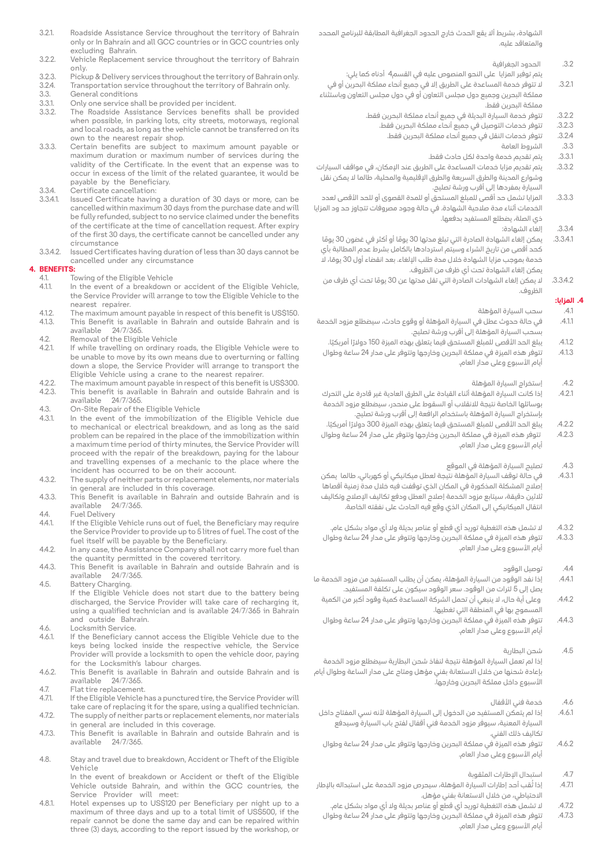- 3.2.1. Roadside Assistance Service throughout the territory of Bahrain only or In Bahrain and all GCC countries or in GCC countries only excluding Bahrain.
- 3.2.2. Vehicle Replacement service throughout the territory of Bahrain .only
- 3.2.3. Pickup & Delivery services throughout the territory of Bahrain only.<br>3.24. Transportation service throughout the territory of Bahrain only.
- 3.2.4. Transportation service throughout the territory of Bahrain only.<br>3.3. General conditions
- 3.3. General conditions<br>3.3.1 Only one service sh 3.3.1. Only one service shall be provided per incident.<br>3.3.2. The Roadside Assistance Services benefits s
- The Roadside Assistance Services benefits shall be provided when possible, in parking lots, city streets, motorways, regional and local roads, as long as the vehicle cannot be transferred on its own to the nearest repair shop.
- 3.3.3. Certain benefits are subject to maximum amount payable or maximum duration or maximum number of services during the validity of the Certificate. In the event that an expense was to occur in excess of the limit of the related guarantee, it would be payable by the Beneficiary.
- 3.3.4. Certificate cancellation:<br>3.3.4.1. Issued Certificate havin
- Issued Certificate having a duration of 30 days or more, can be cancelled within maximum 30 days from the purchase date and will be fully refunded, subject to no service claimed under the benefits of the certificate at the time of cancellation request. After expiry of the first 30 days, the certificate cannot be cancelled under any circumstance
- 3.3.4.2. Issued Certificates having duration of less than 30 days cannot be cancelled under any circumstance

# **4. BENEFITS:**<br>**4.1.**

- 4.1. Towing of the Eligible Vehicle<br>4.1.1. In the event of a breakdown
- In the event of a breakdown or accident of the Eligible Vehicle, the Service Provider will arrange to tow the Eligible Vehicle to the nearest repairer.
- 4.1.2. The maximum amount payable in respect of this benefit is US\$150.<br>4.1.3. This Benefit is available in Bahrain and outside Bahrain and is This Benefit is available in Bahrain and outside Bahrain and is available  $24/7/3.45$
- 24/7/365
- 4.2. Removal of the Eligible Vehicle<br>4.2.1. If while travelling on ordinary i If while travelling on ordinary roads, the Eligible Vehicle were to be unable to move by its own means due to overturning or falling down a slope, the Service Provider will arrange to transport the Eligible Vehicle using a crane to the nearest repairer.
- 4.2.2. The maximum amount payable in respect of this benefit is US\$300.<br>42.3. This benefit is available in Bahrain and outside Bahrain and is This benefit is available in Bahrain and outside Bahrain and is 24/7/365. available
- 4.3. On-Site Repair of the Eligible Vehicle<br>4.3.1 In the event of the immobilization
- In the event of the immobilization of the Eligible Vehicle due to mechanical or electrical breakdown, and as long as the said problem can be repaired in the place of the immobilization within a maximum time period of thirty minutes, the Service Provider will proceed with the repair of the breakdown, paying for the labour and travelling expenses of a mechanic to the place where the incident has occurred to be on their account.
- 4.3.2. The supply of neither parts or replacement elements, nor materials in general are included in this coverage.
- 4.3.3. This Benefit is available in Bahrain and outside Bahrain and is 24/7/365. available
- 4.4. Fuel Delivery<br>4.4.1. If the Eligible
- If the Eligible Vehicle runs out of fuel, the Beneficiary may require the Service Provider to provide up to 5 litres of fuel. The cost of the fuel itself will be payable by the Beneficiary.
- $4.4.2.$  In any case, the Assistance Company shall not carry more fuel than the quantity permitted in the covered territory.
- 4.4.3. This Benefit is available in Bahrain and outside Bahrain and is 24/7/365. available
- 4.5. Battery Charging. If the Eligible Vehicle does not start due to the battery being discharged, the Service Provider will take care of recharging it, using a qualified technician and is available  $24/7/365$  in Bahrain and outside Bahrain.
- 4.6. Locksmith Service.<br>4.6.1. If the Beneficiary
- If the Beneficiary cannot access the Eligible Vehicle due to the keys being locked inside the respective vehicle, the Service Provider will provide a locksmith to open the vehicle door, paying for the Locksmith's labour charges.
- 4.6.2. This Benefit is available in Bahrain and outside Bahrain and is 24/7/365. available
- 4.7. Flat tire replacement<br>4.7.1. If the Eligible Vehicle
- If the Eligible Vehicle has a punctured tire, the Service Provider will take care of replacing it for the spare, using a qualified technician. 4.7.2. The supply of neither parts or replacement elements, nor materials
- in general are included in this coverage.
- 4.7.3. This Benefit is available in Bahrain and outside Bahrain and is 24/7/365. available
- 4.8. Stay and travel due to breakdown, Accident or Theft of the Eligible Vehicle

In the event of breakdown or Accident or theft of the Eligible Vehicle outside Bahrain, and within the GCC countries, the Service Provider will meet:

4.8.1. Hotel expenses up to US\$120 per Beneficiary per night up to a maximum of three days and up to a total limit of USS500, if the repair cannot be done the same day and can be repaired within three (3) days, according to the report issued by the workshop, or

الشهادة، بشريط أال يقع الحدث خارج الحدود الجغرافية المطابقة للبرنامج المحدد والمتعاقد عليه.

- .3.2 الحدود الجغرافية
- يتم توفير المزايا على النحو المنصوص عليه في القسم4 أدناه كما يلي:
- .3.2.1 ال تتوفر خدمة المساعدة على الطريق إال في جميع أنحاء مملكة البحرين أو في مملكة البحرين وجميع دول مجلس التعاون أو في دول مجلس التعاون وباستثناء مملكة البحرين فقط.
	- .3.2.2 تتوفر خدمة السيارة البديلة في جميع أنحاء مملكة البحرين فقط.
		- .3.2.3 تتوفر خدمات التوصيل في جميع أنحاء مملكة البحرين فقط.
			- .3.2.4 تتوفر خدمات النقل في جميع أنحاء مملكة البحرين فقط.
				- .3.3 الشروط العامة
				- .3.3.1 يتم تقديم خدمة واحدة لكل حادث فقط.
- .3.3.2 يتم تقديم مزايا خدمات المساعدة على الطريق عند اإلمكان، في مواقف السيارات وشوارع المدينة والطرق السريعة والطرق اإلقليمية والمحلية، طالما ال يمكن نقل السيارة بمفردها إلى أقرب ورشة تصليح.
- 3.3.3. المزايا تشمل حد أقصى للمبلغ المستحق أو للمدة الفصى لعدد الخدمات أثناء مدة صالحية الشهادة. في حالة وجود مصروفات تتجاوز حد ود المزايا ذي الصلة، يضطلع المستفيد بدفعها.
	- .3.3.4 إلغاء الشهادة:
	- .3.3.4.1 يمكن إلغاء الشهادة الصادرة التي تبلغ مدتها 30 ً يوما أو أكثر في غضون 30 ً يوما كحد أقصى من تاريخ الشراء وسيتم استردادها بالكامل بشرط عدم المطالبة بأي خدمة بموجب مزايا الشهادة خلال مدة طلب الإلغاء. بعد انقضاء أول 30 يومًا، لا يمكن إلغاء الشهادة تحت أي ظرف من الظروف.
	- .3.3.4.2 ال يمكن إلغاء الشهادات الصادرة التي تقل مدتها عن 30 ً يوما تحت أي ظرف من الظروف.

### **.4 المزايا:**

- .4.1 سحب السيارة المؤهلة
- .4.1.1 في حالة حدوث عطل في السيارة المؤهلة أو وقوع حادث، سيضطلع مزود الخدمة بسحب السيارة المؤهلة إلى أقرب ورشة تصليح.
	- .<br>4.1.2. يبلغ الحد الأقصى للمبلغ المستحق فيما يتعلق بهذه الميزة 150 دولارًا أمريكيًا.
- .4.1.3 تتوفر هذه الميزة في مملكة البحرين وخارجها وتتوفر على مدار 24 ساعة وطوال أيام الأسبوع وعلى مدار العام.
	- .4.2 إستخراج السيارة المؤهلة
- .4.2.1 إذا كانت السيارة المؤهلة أثناء القيادة على الطرق العادية غير قادرة على التحرك بوسائلها الخاصة نتيجة لالنقالب أو السقوط على منحدر، سيضطلع مزود الخدمة بإستخراج السيارة المؤهلة باستخدام الرافعة إلى أقرب ورشة تصليح.
- 4.2.2.<br>4.2.2 يبلغ الحد الأقصى للمبلغ المستحق فيما يتعلق بهذه الميزة 300 دولارًا أمريكيًا.<br>42.3 تتوفر هذه المبنة في مملكة البحيين وخايجوا وتتوفر على مجار 24 ساعة مطوا .4.2.3 تتوفر هذه الميزة في مملكة البحرين وخارجها وتتوفر على مدار 24 ساعة وطوال أيام الأسبوع وعلى مدار العام.
	- .4.3 تصليح السيارة المؤهلة في الموقع
- .4.3.1 في حالة توقف السيارة المؤهلة نتيجة لعطل ميكانيكي أو كهربائي، طالما يمكن إصالح المشكلة المذكورة في المكان الذي توقفت فيه خالل مدة زمنية أقصاها ثلاثين دقيقة، سيتابع مزود الخدمة إصلاح العطل ودفع تكاليف الإصلاح وتكاليف انتقال الميكانيكي إلى المكان الذي وقع فيه الحادث على نفقته الخاصة.
- 4.3.2. لا تشمل هذه التغطية توريد أي قطع أو عناصر بديلة ولا أي مواد بشكل عام.
- .4.3.3 تتوفر هذه الميزة في مملكة البحرين وخارجها وتتوفر على مدار 24 ساعة وطوال أيام الأسبوع وعلى مدار العام.
	- .4.4 توصيل الوقود
- .4.4.1 إذا نفد الوقود من السيارة المؤهلة، يمكن أن يطلب المستفيد من مزود الخدمة ما يصل إلى 5 لترات من الوقود. سعر الوقود سيكون على تكلفة المستفيد.
	- .4.4.2 وعلى أية حال، ال ينبغي أن تحمل الشركة المساعدة كمية وقود أكبر من الكمية المسموح بها في المنطقة التي تغطيها.
	- .4.4.3 تتوفر هذه الميزة في مملكة البحرين وخارجها وتتوفر على مدار 24 ساعة وطوال أيام الأسبوع وعلى مدار العام.
- .4.5 شحن البطارية إذا لم تعمل السيارة المؤهلة نتيجة لنفاذ شحن البطارية سيضطلع مزود الخدمة بإعادة شحنها من خالل االستعانة بفني مؤهل ومتاح على مدار الساعة وطوال أيام األسبوع داخل مملكة البحرين وخارجها.
	- .4.6 خدمة فني األقفال
- .4.6.1 إذا لم يتمكن المستفيد من الدخول إلى السيارة المؤهلة ألنه نسي المفتاح داخل السيارة المعنية، سيوفر مزود الخدمة فني أقفال لفتح باب السيارة وسيدفع تكاليف ذلك الفني.
- .4.6.2 تتوفر هذه الميزة في مملكة البحرين وخارجها وتتوفر على مدار 24 ساعة وطوال أيام الأسبوع وعلى مدار العام.
	- .4.7 استبدال اإلطارات المثقوبة
- .<br>4.7.1 إذا ثُقب أحد إطارات السيارة المؤهلة، سيحرص مزود الخدمة على استبداله بالإطار االحتياطي، من خالل االستعانة بفني مؤهل.
	- 4.7.2.<br>4.7.2 لا تشمل هذه التغطية توريد أي قطع أو عناصر بديلة ولا أي مواد بشكل عام.<br>4.7.3 تتوفر هذه الميزة في مملكة البحرين وخارجها وتتوفر على مدار 24 ساعة وطو
- .4.7.3 تتوفر هذه الميزة في مملكة البحرين وخارجها وتتوفر على مدار 24 ساعة وطوال .<br>أيام الأسبوع وعلى مدار العام.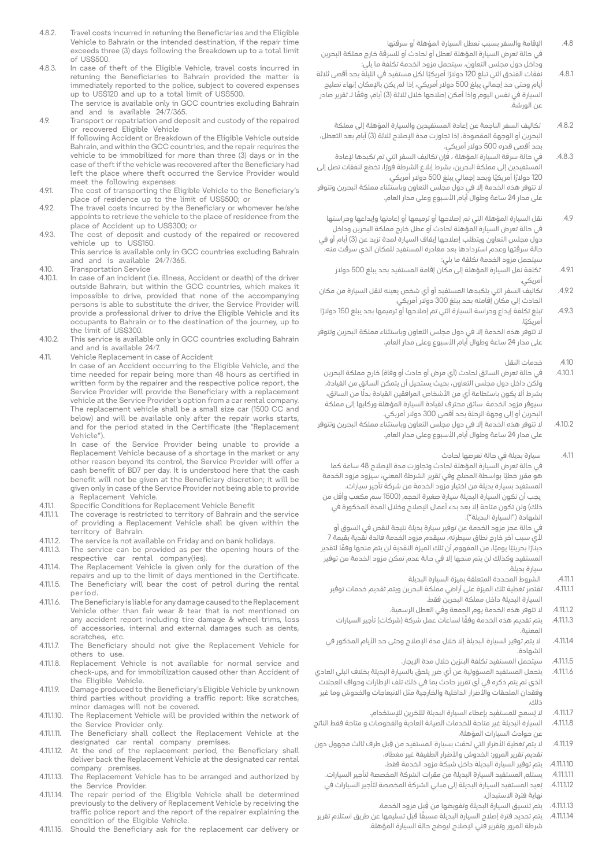- 4.8.2. Travel costs incurred in retuning the Beneficiaries and the Fligible Vehicle to Bahrain or the intended destination, if the repair time exceeds three (3) days following the Breakdown up to a total limit of US\$500
- 4.8.3. In case of theft of the Eligible Vehicle, travel costs incurred in retuning the Beneficiaries to Bahrain provided the matter is immediately reported to the police, subject to covered expenses up to US\$120 and up to a total limit of US\$500. The service is available only in GCC countries excluding Bahrain
- and and is available 24/7/365. 4.9. Transport or repatriation and deposit and custody of the repaired
- or recovered Eligible Vehicle If following Accident or Breakdown of the Eligible Vehicle outside Bahrain, and within the GCC countries, and the repair requires the vehicle to be immobilized for more than three (3) days or in the case of theft if the vehicle was recovered after the Beneficiary had left the place where theft occurred the Service Provider would meet the following expenses:
- 4.9.1. The cost of transporting the Eligible Vehicle to the Beneficiary's place of residence up to the limit of US\$500; or
- 4.9.2. The travel costs incurred by the Beneficiary or whomever he/she appoints to retrieve the vehicle to the place of residence from the place of Accident up to US\$300; or
- 4.9.3. The cost of deposit and custody of the repaired or recovered vehicle up to US\$150.

This service is available only in GCC countries excluding Bahrain and and is available  $24/7/365$ .

- 4.10. Transportation Service<br>4.10.1. In case of an incident (
- In case of an incident (i.e. illness. Accident or death) of the driver outside Bahrain, but within the GCC countries, which makes it impossible to drive, provided that none of the accompanying persons is able to substitute the driver, the Service Provider will provide a professional driver to drive the Eligible Vehicle and its occupants to Bahrain or to the destination of the journey, up to the limit of US\$300.
- 4.10.2. This service is available only in GCC countries excluding Bahrain and and is available 24/7.
- 4.11. Vehicle Replacement in case of Accident

In case of an Accident occurring to the Eligible Vehicle, and the time needed for repair being more than 48 hours as certified in written form by the repairer and the respective police report, the Service Provider will provide the Beneficiary with a replacement vehicle at the Service Provider's option from a car rental company. The replacement vehicle shall be a small size car (1500 CC and below) and will be available only after the repair works starts, and for the period stated in the Certificate (the "Replacement Vehicle")

In case of the Service Provider being unable to provide a Replacement Vehicle because of a shortage in the market or any other reason beyond its control, the Service Provider will offer a cash benefit of BD7 per day. It is understood here that the cash benefit will not be given at the Beneficiary discretion; it will be given only in case of the Service Provider not being able to provide a Replacement Vehicle.

- 4.11.1. Specific Conditions for Replacement Vehicle Benefit<br>4.11.1. The coverage is restricted to territory of Bahrain and
- The coverage is restricted to territory of Bahrain and the service of providing a Replacement Vehicle shall be given within the territory of Bahrain.
- 4.11.1.2. The service is not available on Friday and on bank holidays.<br>4.11.1.3. The service can be provided as per the opening hours The service can be provided as per the opening hours of the
- respective car rental company(ies).
- 4.11.14. The Replacement Vehicle is given only for the duration of the repairs and up to the limit of days mentioned in the Certificate. 4.11.1.5. The Beneficiary will bear the cost of petrol during the rental
- .period
- 4.11.1.6. The Beneficiary is liable for any damage caused to the Replacement Vehicle other than fair wear  $\&$  tear that is not mentioned on any accident report including tire damage & wheel trims, loss of accessories, internal and external damages such as dents. scratches, etc.
- 4.11.1.7. The Beneficiary should not give the Replacement Vehicle for others to use.
- 4.11.1.8. Replacement Vehicle is not available for normal service and check-ups, and for immobilization caused other than Accident of the Eligible Vehicle.
- 4.11.1.9. Damage produced to the Beneficiary's Eligible Vehicle by unknown third parties without providing a traffic report: like scratches, minor damages will not be covered.
- 4.11.1.10. The Replacement Vehicle will be provided within the network of the Service Provider only.
- 4.11.1.11. The Beneficiary shall collect the Replacement Vehicle at the designated car rental company premises.
- 4.11.1.12. At the end of the replacement period, the Beneficiary shall deliver back the Replacement Vehicle at the designated car rental company premises.
- 4.11.1.13. The Replacement Vehicle has to be arranged and authorized by the Service Provider.
- 4.11.1.14. The repair period of the Eligible Vehicle shall be determined previously to the delivery of Replacement Vehicle by receiving the traffic police report and the report of the repairer explaining the condition of the Eligible Vehicle.
- 4.11.1.15. Should the Beneficiary ask for the replacement car delivery or
- .4.8 اإلقامة والسفر بسبب تعطل السيارة المؤهلة أو سرقتها في حالة تعرض السيارة المؤهلة لعطل أو لحادث أو للسرقة خارج مملكة البحرين .<br>وداخل دول مجلس التعاون، سيتحمل مزود الخدمة تكلفة ما يلي:
- .4.8.1 نفقات الفندق التي تبلغ 120 ً دوالر ً ا أمريكيا لكل مستفيد في الليلة بحد أقصى ثالثة أيام وحتى حد إجمالي يبلغ 500 دوالر أمريكي، إذا لم يكن باإلمكان إنهاء تصليح السيارة في نفس اليوم وإذا أمكن إصلاحها خلال ثلاثة (3) أيام، وفقًا لـ تقرير صادر عن الورشة.
- .4.8.2 تكاليف السفر الناجمة عن إعادة المستفيدين والسيارة المؤهلة إلى مملكة البحرين أو الوجهة المقصودة، إذا تجاوزت مدة الإصلاح ثلاثة (3) أيام بعد التعطل، بحد أقصى قدره 500 دوالر أمريكي.
- .4.8.3 في حالة سرقة السيارة المؤهلة ، فإن تكاليف السفر التي تم تكبدها إلعادة ً المستفيدين إلى مملكة البحرين، بشرط إبالغ الشرطة فورا، تخضع لنفقات تصل إلى 120 ً دوالر ً ا أمريكيا وبحد إجمالي يبلغ 500 دوالر أمريكي. ال تتوفر هذه الخدمة إال في دول مجلس التعاون وباستثناء مملكة البحرين وتتوفر على مدار 24 ساعة وطوال أيام الأسبوع وعلى مدار العام.
- .4.9 نقل السيارة المؤهلة التي تم إصالحها أو ترميمها أو إعادتها وإيداعها وحراستها في حالة تعرض السيارة المؤهلة لحادث أو عطل خارج مملكة البحرين وداخل دول مجلس التعاون ويتطلب إصلاحها إيقاف السيارة لمدة تزيد عن (3) أيام أو في حالة سرقتها وعدم استردادها بعد مغادرة المستفيد للمكان الذي سرقت منه، سيتحمل مزود الخدمة تكلفة ما يلي:
	- .4.9.1 تكلفة نقل السيارة المؤهلة إلى مكان إقامة المستفيد بحد يبلغ 500 دوالر أمريكي.
- .4.9.2 تكاليف السفر التي يتكبدها المستفيد أو أي شخص يعينه لنقل السيارة من مكان الحادث إلى مكان إقامته بحد يبلغ 300 دوالر أمريكي.
- 4.9.3 تبلغ تكلفة إيداع وحراسة السيارة التي تم إصلاحها أو ترميمها بحد يبلغ 150 دولارًا ً أمريكيا. ال تتوفر هذه الخدمة إال في دول مجلس التعاون وباستثناء مملكة البحرين وتتوفر
- على مدار 24 ساعة وطوال أيام األسبوع وعلى مدار العام.
	- .4.10 خدمات النقل
- 4.10.1 في حالة تعرض السائق لحادث (أي مرض أو حادث أو وفاة) خارج مملكة البحرين ولكن داخل دول مجلس التعاون، بحيث يستحيل أن يتمكن السائق من القيادة، بشرط ألا يكون باستطاعة أي من الأشخاص المرافقين القيادة بدلًا من السائق، سيوفر مزود الخدمة سائق محترف لقيادة السيارة المؤهلة وركابها إلى مملكة البحرين أو إلى وجهة الرحلة بحد أقصى 300 دوالر أمريكي.
- .4.10.2 ال تتوفر هذه الخدمة إال في دول مجلس التعاون وباستثناء مملكة البحرين وتتوفر على مدار 24 ساعة وطوال أيام األسبوع وعلى مدار العام.
	- .4.11 سيارة بديلة في حالة تعرضها لحادث
- في حالة تعرض السيارة المؤهلة لحادث وتجاوزت مدة اإلصالح 48 ساعة كما ً هو مقرر خطيا بواسطة المصلح وفي تقرير الشرطة المعني، سيزود مزود الخدمة المستفيد بسيارة بديلة من اختيار مزود الخدمة من شركة تأجير سيارات. يجب أن تكون السيارة البديلة سيارة صغيرة الحجم )1500 سم مكعب وأقل من ذلك) ولن تكون متاحة إلا بعد بدء أعمال الإصلاح وخلال المدة المذكورة في الشهادة ("السيارة البديلة").

في حالة عجز مزود الخدمة عن توفير سيارة بديلة نتيجة لنقص في السوق أو ألي سبب آخر خارج نطاق سيطرته، سيقدم مزود الخدمة فائدة نقدية بقيمة 7 دينارًا بحرينيًا يوميًا، من المفهوم أن تلك الميزة النقدية لن يتم منحها وفقًا لتقدير المستفيد وكذلك لن يتم منحها إال في حالة عدم تمكن مزود الخدمة من توفير سيارة بديلة.

- .4.11.1 الشروط المحددة المتعلقة بميزة السيارة البديلة
- .4.11.1.1 تقتصر تغطية تلك الميزة على أراضي مملكة البحرين ويتم تقديم خدمات توفير السيارة البديلة داخل مملكة البحرين فقط.
	- .4.11.1.2 ال تتوفر هذه الخدمة يوم الجمعة وفي العطل الرسمية.
	- 4.11.1.3. يتم تقديم هذه الخدمة وفقًا لساعات عمل شركة (شركات) تأجير السيارات المعنية.
- 4.11.14. الله يتم توفير السيارة البديلة إلا خلال مدة الإصلاح وحتى حد الأيام المذكور في الشهادة.
	- .4.11.1.5 سيتحمل المستفيد تكلفة البنزين خالل مدة اإليجار.
- .4.11.1.6 يتحمل المستفيد المسؤولية عن أي ضرر يلحق بالسيارة البديلة بخالف البلى العادي الذي لم يتم ذكره في أي تقرير حادث بما في ذلك تلف اإلطارات وحواف العجالت وفقدان الملحقات والأضرار الداخلية والخارجية مثل الانبعاجات والخدوش وما غير ذلك.
	- 4.11.1.7. لا يُسمح للمستفيد بإعطاء السيارة البديلة للآخرين للإستخدام.
- .4.11.1.8 السيارة البديلة غير متاحة للخدمات الصيانة العادية والفحوصات و متاحة فقط الناتج عن حوادث السيارات المؤهلة.
- .4.11.1.9 ِ ال يتم تغطية األضرار التي لحقت بسيارة المستفيد من قبل طرف ثالث مجهول دون تقديم تقرير المرور: الخدوش واألضرار الطفيفة غير مغطاه.
	- .4.11.1.10 يتم توفير السيارة البديلة داخل شبكة مزود الخدمة فقط.
	- .4.11.1.11 يستلم المستفيد السيارة البديلة من مقرات الشركة المخصصة لتأجير السيارات.
	- .4.11.1.12 ُيعيد المستفيد السيارة البديلة إلى مباني الشركة المخصصة لتأجير السيارات في نهاية فترة االستبدال.
		- .4.11.1.13 ِ يتم تنسيق السيارة البديلة وتفويضها من قبل مزود الخدمة.
- يتم تحديد فترة إصلاح السيارة البديلة مسبقًا قبل تسليمها عن طريق استلام تقرير .<br>شرطة المرور وتقرير فني الإصلاح ليوضح حالة السيارة المؤهلة.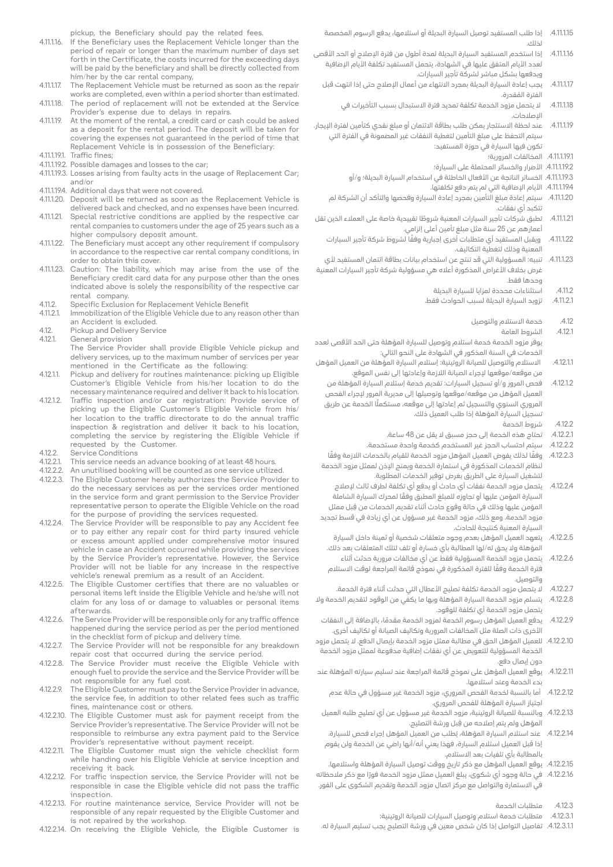pickup, the Beneficiary should pay the related fees.

- 4.11.1.16. If the Beneficiary uses the Replacement Vehicle longer than the period of repair or longer than the maximum number of days set forth in the Certificate, the costs incurred for the exceeding days will be paid by the beneficiary and shall be directly collected from him/her by the car rental company,
- 4.11.1.17. The Replacement Vehicle must be returned as soon as the repair works are completed, even within a period shorter than estimated. 4.11.1.18. The period of replacement will not be extended at the Service
- Provider's expense due to delays in repairs. 4.11.1.19. At the moment of the rental, a credit card or cash could be asked
- as a deposit for the rental period. The deposit will be taken for covering the expenses not quaranteed in the period of time that Replacement Vehicle is in possession of the Beneficiary: 4.11.1.19.1. Traffic fines;
- 4.11.1.19.2. Possible damages and losses to the car;
- 4.11.1.19.3. Losses arising from faulty acts in the usage of Replacement Car; and/or
- 4.11.1.19.4. Additional days that were not covered.
- 4.11.1.20. Deposit will be returned as soon as the Replacement Vehicle is delivered back and checked, and no expenses have been incurred.
- 4.11.1.21. Special restrictive conditions are applied by the respective car rental companies to customers under the age of 25 years such as a higher compulsory deposit amount.
- 4.11.1.22. The Beneficiary must accept any other requirement if compulsory in accordance to the respective car rental company conditions, in order to obtain this cover.
- 4.11.1.23. Caution: The liability, which may arise from the use of the Beneficiary credit card data for any purpose other than the ones indicated above is solely the responsibility of the respective car rental company.
- 4.11.2. Specific Exclusion for Replacement Vehicle Benefit<br>4.11.2.1 Immobilization of the Fligible Vehicle due to any rea
- Immobilization of the Eligible Vehicle due to any reason other than an Accident is excluded.
- 4.12. Pickup and Delivery Service
- 4.12.1. General provision

The Service Provider shall provide Eligible Vehicle pickup and delivery services, up to the maximum number of services per year mentioned in the Certificate as the following:

- 4.12.1.1. Pickup and delivery for routines maintenance: picking up Eligible Customer's Eligible Vehicle from his/her location to do the necessary maintenance required and deliver it back to his location.
- 4.12.1.2. Traffic inspection and/or car registration: Provide service of picking up the Eligible Customer's Eligible Vehicle from his/ her location to the traffic directorate to do the annual traffic inspection & registration and deliver it back to his location completing the service by registering the Eligible Vehicle if requested by the Customer.
- 4.12.2. Service Conditions<br>4.12.2.1. This service needs
- 4.12.2.1. This service needs an advance booking of at least 48 hours.<br>4.12.2.2. An unutilised booking will be counted as one service utilize
- 4.12.2.2. An unutilised booking will be counted as one service utilized.<br>4.12.2.3. The Eligible Customer hereby authorizes the Service Provide
- The Eligible Customer hereby authorizes the Service Provider to do the necessary services as per the services order mentioned in the service form and grant permission to the Service Provider representative person to operate the Eligible Vehicle on the road for the purpose of providing the services requested.
- 4.12.2.4. The Service Provider will be responsible to pay any Accident fee or to pay either any repair cost for third party insured vehicle or excess amount applied under comprehensive motor insured vehicle in case an Accident occurred while providing the services by the Service Provider's representative. However, the Service Provider will not be liable for any increase in the respective vehicle's renewal premium as a result of an Accident.
- 4.12.2.5. The Eligible Customer certifies that there are no valuables or personal items left inside the Eligible Vehicle and he/she will not claim for any loss of or damage to valuables or personal items .afterwards
- 4.12.2.6. The Service Provider will be responsible only for any traffic offence happened during the service period as per the period mentioned in the checklist form of pickup and delivery time.
- 4.12.2.7. The Service Provider will not be responsible for any breakdown repair cost that occurred during the service period.
- 4.12.2.8. The Service Provider must receive the Eligible Vehicle with enough fuel to provide the service and the Service Provider will be not responsible for any fuel cost.
- 4.12.2.9. The Eligible Customer must pay to the Service Provider in advance, the service fee, in addition to other related fees such as traffic fines, maintenance cost or others.
- 4.12.2.10. The Eligible Customer must ask for payment receipt from the Service Provider's representative. The Service Provider will not be responsible to reimburse any extra payment paid to the Service Provider's representative without payment receipt.
- 4.12.2.11. The Eligible Customer must sign the vehicle checklist form while handing over his Eligible Vehicle at service inception and receiving it back.
- 4.12.2.12. For traffic inspection service, the Service Provider will not be responsible in case the Eligible vehicle did not pass the traffic inspection.
- 4.12.2.13. For routine maintenance service, Service Provider will not be responsible of any repair requested by the Eligible Customer and is not repaired by the workshop.
- 4.12.2.14. On receiving the Eligible Vehicle, the Eligible Customer is
- .4.11.1.15 إذا طلب المستفيد توصيل السيارة البديلة أو استالمها، يدفع الرسوم المخصصة لذلك.
- 4.11.16. إذا استخدم المستفيد السيارة البديلة لمدة أطول من فترة الإصلاح أو الحد الأقصى لعدد الأيام المتفق عليها في الشهادة، يتحمل المستفيد تكلفة الأيام الإضافية ويدفعها بشكل مباشر لشركة تأجير السيارات.
	- 4.11.17.1. يجب إعادة السيارة البديلة بمجرد الانتهاء من أعمال الإصلاح حتى إذا انتهت قبل ُ الفترة المقدرة.
		- .4.11.1.18 ال يتحمل مزود الخدمة تكلفة تمديد فترة االستبدال بسبب التأخيرات في اإلصالحات.
- .4.11.1.19 عند لحظة االستئجار يمكن طلب بطاقة االئتمان أو مبلغ نقدي كتأمين لفترة اإليجار. سيتم التحفظ على مبلغ التأمين لتغطية النفقات غير المضمونة في الفترة التي تكون فيها السيارة في حوزة المستفيد:
	- .4.11.1.19.1 المخالفات المرورية؛
	- .4.11.1.19.2 األضرار والخسائر المحتملة على السيارة؛
	- .4.11.1.19.3 الخسائر الناتجة عن األفعال الخاطئة في استخدام السيارة البديلة؛ و/أو
		- .<br>4.11.1.19.4 الأيام الإضافية التي لم يتم دفع تكلفتها.
	- .4.11.1.20 سيتم إعادة مبلغ التأمين بمجرد إعادة السيارة وفحصها والتأكد أن الشركة لم تتكبد أي نفقات.
- .4.11.1.21 ً تطبق شركات تأجير السيارات المعنية شروطا تقييدية خاصة على العمالء الذين تقل أعمارهم عن 25 سنة مثل مبلغ تأمين أعلى إلزامي.
	- .4.11.1.22 ً ويقبل المستفيد أي متطلبات أخرى إجبارية وفقا لشروط شركة تأجير السيارات المعنية وذلك لتغطية التكاليف.
- 4.11.1.23. تنبيه: المسؤولية التي قد تنتج عن استخدام بيانات بطاقة ائتمان المستفيد لأي غرض بخلاف الأغراض المذكورة أعلاه هي مسؤولية شركة تأجير السيارات المعنية وحدها فقط.
	- .4.11.2 استثناءات محددة لمزايا للسيارة البديلة .4.11.2.1 تزويد السيارة البديلة لسبب الحوادث فقط.
		- - .4.12 خدمة االستالم والتوصيل
				- .4.12.1 الشروط العامة
- يوفر مزود الخدمة خدمة استلام وتوصيل للسيارة المؤهلة حتى الحد الأقصى لعدد الخدمات في السنة المذكور في الشهادة على النحو التالي:
- 4.12.11.1 الاستلام والتوصيل للصيانة الروتينية: إستلام السيارة المؤهلة من العميل المؤهل من موقعه/موقعها إلجراء الصيانة الالزمة وإعادتها إلى نفس الموقع.
- .4.12.1.2 فحص المرور و/أو تسجيل السيارات: تقديم خدمة إستالم السيارة المؤهلة من العميل المؤهل من موقعه/موقعها وتوصيلها إلى مديرية المرور إلجراء الفحص المروري السنوي والتسجيل ثم إعادتها إلى موقعه، مستكملًا الخدمة عن طريق تسجيل السيارة المؤهلة إذا طلب العميل ذلك.
	- .4.12.2 شروط الخدمة
	- .4.12.2.1 تحتاج هذه الخدمة إلى حجز مسبق ال يقل عن 48 ساعة.
- .4.12.2.2 سيتم احتساب الحجز غير المستخدم كخدمة واحدة مستخدمة. 4.12.2.3 . وفقًا لذلك يفوض العميل المؤهل مزود الخدمة للقيام بالخدمات اللازمة وفقًا لنظام الخدمات المذكورة في استمارة الخدمة ويمنح اإلذن لممثل مزود الخدمة لتشغيل السيارة على الطريق بغرض توفير الخدمات المطلوبة.
- 4.12.24. يتحمل مزود الخدمة نفقات أي حادث أو يدفع أي تكلفة لطرف ثالث لإصلاح ً السيارة المؤمن عليها أو تجاوزه للمبلغ المطبق وفقا لمحرك السيارة الشاملة ِ المؤمن عليها وذلك في حالة وقوع حادث أثناء تقديم الخدمات من قبل ممثل مزود الخدمة. ومع ذلك، مزود الخدمة غير مسؤول عن أي زيادة في قسط تجديد السيارة المعنية كنتيجة للحادث.
	- .4.12.2.5 يتعهد العميل المؤهل بعدم وجود متعلقات شخصية أو ثمينة داخل السيارة المؤهلة وال يحق له/لها المطالبة بأي خسارة أو تلف لتلك المتعلقات بعد ذلك.
- .4.12.2.6 يتحمل مزود الخدمة المسؤولية فقط عن أي مخالفات مرورية حدثت أثناء ً فترة الخدمة وفقا للفترة المذكورة في نموذج قائمة المراجعة لوقت االستالم والتوصيل.
	- .4.12.2.7 ال يتحمل مزود الخدمة تكلفة تصليح األعطال التي حدثت أثناء فترة الخدمة.
- .4.12.2.8 يتسلم مزود الخدمة السيارة المؤهلة وبها ما يكفي من الوقود لتقديم الخدمة وال يتحمل مزود الخدمة أي تكلفة للوقود.
- 4.12.2.9 ً يدفع العميل المؤهل رسوم الخدمة لمزود الخدمة مقدمًا، بالإضافة إلى النفقات األخرى ذات الصلة مثل المخالفات المرورية وتكاليف الصيانة أو تكاليف أخرى.
- .4.12.2.10 للعميل المؤهل الحق في مطالبة ممثل مزود الخدمة بإيصال الدفع. ال يتحمل مزود الخدمة المسؤولية للتعويض عن أي نفقات إضافية مدفوعة لممثل مزود الخدمة دون إيصال دفع.
- .4.12.2.11 يوقع العميل المؤهل على نموذج قائمة المراجعة عند تسليم سيارته المؤهلة عند بدء الخدمة وعند استالمها.
	- .4.12.2.12 أما بالنسبة لخدمة الفحص المروري، مزود الخدمة غير مسؤول في حالة عدم اجتياز السيارة المؤهلة للفحص المروري.
- .4.12.2.13 وبالنسبة للصيانة الروتينية، مزود الخدمة غير مسؤول عن أي تصليح طلبه العميل ِ المؤهل ولم يتم إصالحه من قبل ورشة التصليح.
- .4.12.2.14 ُ عند استالم السيارة المؤهلة، يطلب من العميل المؤهل إجراء فحص للسيارة. إذا قبل العميل استالم السيارة، فهذا يعني أنه/أنها راضي عن الخدمة ولن يقوم بالمطالبة بأي تلفيات بعد االستالم.
- .4.12.2.15 يوقع العميل المؤهل مع ذكر تاريخ ووقت توصيل السيارة المؤهلة واستالمها.
- .4.12.2.16 ً في حالة وجود أي شكوى، يبلغ العميل ممثل مزود الخدمة فورا مع ذكر مالحظاته في االستمارة والتواصل مع مركز اتصال مزود الخدمة وتقديم الشكوى على الفور.
	- .4.12.3 متطلبات الخدمة
	- .4.12.3.1 متطلبات خدمة استالم وتوصيل السيارات للصيانة الروتينية:
- .4.12.3.1.1 تفاصيل التواصل إذا كان شخص معين في ورشة التصليح يجب تسليم السيارة له.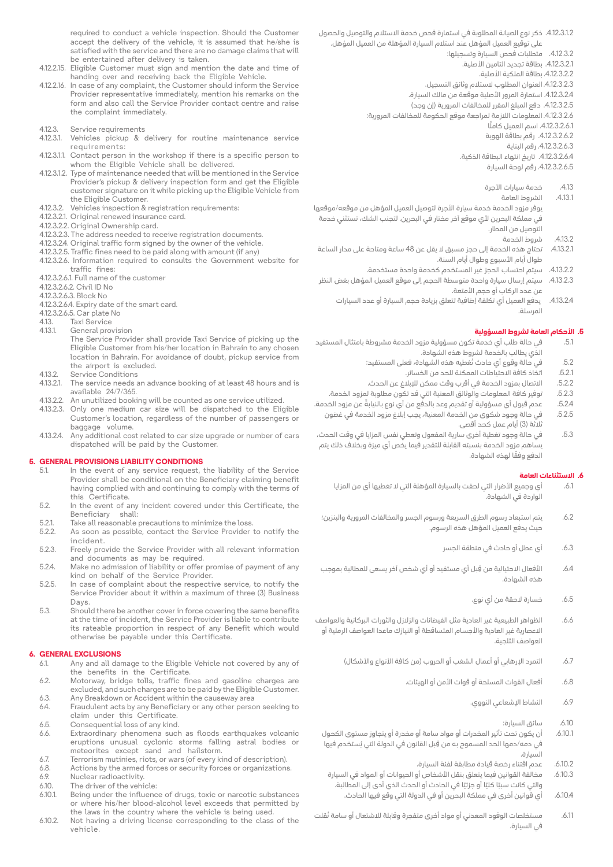required to conduct a vehicle inspection. Should the Customer accept the delivery of the vehicle, it is assumed that he/she is satisfied with the service and there are no damage claims that will be entertained after delivery is taken.

- 4.12.2.15. Eligible Customer must sign and mention the date and time of handing over and receiving back the Eligible Vehicle.
- 4.12.2.16. In case of any complaint, the Customer should inform the Service Provider representative immediately, mention his remarks on the form and also call the Service Provider contact centre and raise the complaint immediately.
- 4.12.3. Service requirements<br>4.12.3.1. Vehicles pickup &
- Vehicles pickup & delivery for routine maintenance service :requirements
- 4.12.3.1.1. Contact person in the workshop if there is a specific person to whom the Eligible Vehicle shall be delivered.
- 4.12.3.1.2. Type of maintenance needed that will be mentioned in the Service Provider's pickup & delivery inspection form and get the Eligible customer signature on it while picking up the Eligible Vehicle from the Eligible Customer.
- 4.12.3.2. Vehicles inspection & registration requirements:
- 4.12.3.2.1. Original renewed insurance card.
- 4.12.3.2.2. Original Ownership card.
- 4.12.3.2.3. The address needed to receive registration documents.
- 4.12.3.2.4. Original traffic form signed by the owner of the vehicle.
- 4.12.3.2.5. Traffic fines need to be paid along with amount (if any) 4.12.3.2.6. Information required to consults the Government website for traffic fines:
- 4.12.3.2.6.1. Full name of the customer
- 4.12.3.2.6.2. Civil ID No
- 4.12.3.2.6.3. Block No
- 4.12.3.2.6.4. Expiry date of the smart card.
- 4.12.3.2.6.5. Car plate No<br>4.13. Taxi Service
- 4.13. Taxi Service<br>4.13.1 General prov
- General provision
	- The Service Provider shall provide Taxi Service of picking up the Fligible Customer from his/her location in Bahrain to any chosen location in Bahrain. For avoidance of doubt, pickup service from the airport is excluded.
- 4.13.2. Service Conditions<br>4.13.2.1. The service needs a
- The service needs an advance booking of at least 48 hours and is 24/7/365. available
- 4.13.2.2. An unutilized booking will be counted as one service utilized.<br>4.13.2.3. Only one medium car size will be dispatched to the Elio
- Only one medium car size will be dispatched to the Eligible Customer's location, regardless of the number of passengers or baggage volume.
- 4.13.2.4. Any additional cost related to car size upgrade or number of cars dispatched will be paid by the Customer.

# **CONDITIONS CONDITIONS LABILITY CONDITIONS**<br>5.1 In the event of any service request

- In the event of any service request, the liability of the Service Provider shall be conditional on the Beneficiary claiming benefit having complied with and continuing to comply with the terms of this Certificate.
- 5.2. In the event of any incident covered under this Certificate, the Beneficiary shall:
- 5.2.1. Take all reasonable precautions to minimize the loss.<br>5.2.2. As soon as possible, contact the Service Provider
- As soon as possible, contact the Service Provider to notify the .incident
- 5.2.3. Freely provide the Service Provider with all relevant information and documents as may be required.
- 5.2.4. Make no admission of liability or offer promise of payment of any kind on behalf of the Service Provider.
- 5.2.5. In case of complaint about the respective service, to notify the Service Provider about it within a maximum of three (3) Business Days.
- 5.3. Should there be another cover in force covering the same benefits at the time of incident, the Service Provider is liable to contribute its rateable proportion in respect of any Benefit which would otherwise be payable under this Certificate.

# **6. GENERAL EXCLUSIONS**<br>6.1. Any and all da

- Any and all damage to the Eligible Vehicle not covered by any of the benefits in the Certificate.
- 6.2. Motorway, bridge tolls, traffic fines and gasoline charges are excluded, and such charges are to be paid by the Eligible Customer.
- 6.3. Any Breakdown or Accident within the causeway area<br>6.4. Eraudulent acts by any Beneficiary or any other perso Fraudulent acts by any Beneficiary or any other person seeking to claim under this Certificate.
- 6.5. Consequential loss of any kind.<br>6.6. Extraordinary phenomena such
- Extraordinary phenomena such as floods earthquakes volcanic eruptions unusual cyclonic storms falling astral bodies or meteorites except sand and hailstorm.
- 6.7. Terrorism mutinies, riots, or wars (of every kind of description).<br>6.8. Actions by the armed forces or security forces or organizations
- 6.8. Actions by the armed forces or security forces or organizations.<br>6.9. Nuclear radioactivity.
- 6.9. Nuclear radioactivity.<br>6.10. The driver of the vehi
- $6.10.$  The driver of the vehicle:<br> $6.10.1$  Being under the influence
- Being under the influence of drugs, toxic or narcotic substances or where his/her blood-alcohol level exceeds that permitted by the laws in the country where the vehicle is being used.
- 6.10.2. Not having a driving license corresponding to the class of the .vehicle
- .4.12.3.1.2 ذكر نوع الصيانة المطلوبة في استمارة فحص خدمة االستالم والتوصيل والحصول على توقيع العميل المؤهل عند استالم السيارة المؤهلة من العميل المؤهل.
	- .4.12.3.2 متطلبات فحص السيارة وتسجيلها:
		- .4.12.3.2.1 بطاقة تجديد التامين األصلية.
		- .4.12.3.2.2 بطاقة الملكية األصلية.
	- .4.12.3.2.3 العنوان المطلوب الستالم وثائق التسجيل.
	- .4.12.3.2.4 استمارة المرور األصلية موقعة من مالك السيارة.
	- 4.12.3.2.5 دفع المبلغ المقرر للمخالفات المرورية (إن وجد)
	- .4.12.3.2.6 المعلومات الالزمة لمراجعة موقع الحكومة للمخالفات المرورية:
		- 4.12.3.2.6.1 اسم العميل كاملًا
		- .4.12.3.2.6.2 رقم بطاقة الهوية
			- .4.12.3.2.6.3 رقم البناية
		- .4.12.3.2.6.4 تاريخ انتهاء البطاقة الذكية.
			- .4.12.3.2.6.5 رقم لوحة السيارة
			- .4.13 خدمة سيارات األجرة
				- .4.13.1 الشروط العامة
- يوفر مزود الخدمة خدمة سيارة األجرة لتوصيل العميل المؤهل من موقعه/موقعها في مملكة البحرين ألي موقع آخر مختار في البحرين. لتجنب الشك، تستثني خدمة التوصيل من المطار.
	- .4.13.2 شروط الخدمة
- .4.13.2.1 تحتاج هذه الخدمة إلى حجز مسبق ال يقل عن 48 ساعة ومتاحة على مدار الساعة طوال أيام الأسبوع وطوال أيام السنة.
	- .4.13.2.2 سيتم احتساب الحجز غير المستخدم كخدمة واحدة مستخدمة.
- .4.13.2.3 سيتم إرسال سيارة واحدة متوسطة الحجم إلى موقع العميل المؤهل بغض النظر عن عدد الركاب أو حجم الأمتعة.
	- .4.13.2.4 يدفع العميل أي تكلفة إضافية تتعلق بزيادة حجم السيارة أو عدد السيارات المرسلة.

# **.5 األحكام العامة لشروط المسؤولية**

- .5.1 في حالة طلب أي خدمة تكون مسؤولية مزود الخدمة مشروطة بامتثال المستفيد الذي يطالب بالخدمة لشروط هذه الشهادة.
	- 5.2. في حالة وقوع أي حادث تُغطيه هذه الشهادة، فعلى المستفيد:
		- .5.2.1 اتخاذ كافة االحتياطات الممكنة للحد من الخسائر.
	- .5.2.2 االتصال بمزود الخدمة في أقرب وقت ممكن لإلبالغ عن الحدث.
	- .5.2.3 توفير كافة المعلومات والوثائق المعنية التي قد تكون مطلوبة لمزود الخدمة.
- .5.2.4 ً عدم قبول أي مسؤولية أو تقديم وعد بالدفع من أي نوع بالنيابة عن مزود الخدمة.
- .5.2.5 في حالة وجود شكوى من الخدمة المعنية، يجب إبالغ مزود الخدمة في غضون ثللثة (3) أيام عمل كحد أقصى.
- .5.3 في حالة وجود تغطية أخرى سارية المفعول وتعطي نفس المزايا في وقت الحدث، يساهم مزود الخدمة بنسبته القابلة للتقدير فيما يخص أي ميزة وبخالف ذلك يتم ً الدفع وفقا لهذه الشهادة.

#### **.6 االستثناءات العامة**

- .6.1 أي وجميع األضرار التي لحقت بالسيارة المؤهلة التي ال تغطيها أي من المزايا الواردة في الشهادة.
- .6.2 يتم استبعاد رسوم الطرق السريعة ورسوم الجسر والمخالفات المرورية والبنزين؛ حيث يدفع العميل المؤهل هذه الرسوم.
	- .6.3 أي عطل أو حادث في منطقة الجسر
- األفعال االحتيالية من قبل أي مستفيد أو أي شخص آخر يسعى للمطالبة بموجب .6.4 ِ هذه الشهادة.
	- .6.5 خسارة الحقة من أي نوع.
- .6.6 الظواهر الطبيعية غير العادية مثل الفيضانات والزالزل والثورات البركانية والعواصف االعصارية غير العادية واألجسام المتساقطة أو النيازك ماعدا العواصف الرملية أو العواصف الثلجية.
	- .6.7 التمرد اإلرهابي أو أعمال الشغب أو الحروب )من كافة األنواع واألشكال(
		- .6.8 أفعال القوات المسلحة أو قوات األمن أو الهيئات.
			- .6.9 النشاط اإلشعاعي النووي.
				- .6.10 سائق السيارة:
- .6.10.1 أن يكون تحت تأثير المخدرات أو مواد سامة أو مخدرة أو يتجاوز مستوى الكحول في دمه/دمها الحد المسموح به من قِبل القانون في الدولة التي يُستخدم فيها السيارة.
	- .6.10.2 عدم اقتناء رخصة قيادة مطابقة لفئة السيارة.
- .6.10.3 مخالفة القوانين فيما يتعلق بنقل األشخاص أو الحيوانات أو المواد في السيارة والتي كانت سببًا كليًا أو جزئيًا في الحادث أو الحدث الذي أدى إلى المطالبة. .6.10.4 أي قوانين أخرى في مملكة البحرين أو في الدولة التي وقع فيها الحادث.
	-
- 6.11. مستخلصات الوقود المعدني أو مواد أخرى متفجرة وقابلة للاشتعال أو سامة نُقلت في السيارة.